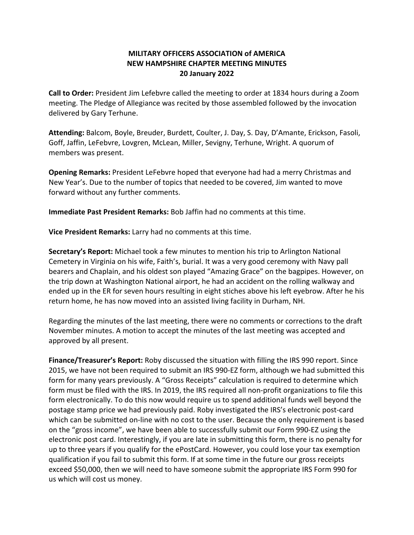# **MILITARY OFFICERS ASSOCIATION of AMERICA NEW HAMPSHIRE CHAPTER MEETING MINUTES 20 January 2022**

**Call to Order:** President Jim Lefebvre called the meeting to order at 1834 hours during a Zoom meeting. The Pledge of Allegiance was recited by those assembled followed by the invocation delivered by Gary Terhune.

**Attending:** Balcom, Boyle, Breuder, Burdett, Coulter, J. Day, S. Day, D'Amante, Erickson, Fasoli, Goff, Jaffin, LeFebvre, Lovgren, McLean, Miller, Sevigny, Terhune, Wright. A quorum of members was present.

**Opening Remarks:** President LeFebvre hoped that everyone had had a merry Christmas and New Year's. Due to the number of topics that needed to be covered, Jim wanted to move forward without any further comments.

**Immediate Past President Remarks:** Bob Jaffin had no comments at this time.

**Vice President Remarks:** Larry had no comments at this time.

**Secretary's Report:** Michael took a few minutes to mention his trip to Arlington National Cemetery in Virginia on his wife, Faith's, burial. It was a very good ceremony with Navy pall bearers and Chaplain, and his oldest son played "Amazing Grace" on the bagpipes. However, on the trip down at Washington National airport, he had an accident on the rolling walkway and ended up in the ER for seven hours resulting in eight stiches above his left eyebrow. After he his return home, he has now moved into an assisted living facility in Durham, NH.

Regarding the minutes of the last meeting, there were no comments or corrections to the draft November minutes. A motion to accept the minutes of the last meeting was accepted and approved by all present.

**Finance/Treasurer's Report:** Roby discussed the situation with filling the IRS 990 report. Since 2015, we have not been required to submit an IRS 990‐EZ form, although we had submitted this form for many years previously. A "Gross Receipts" calculation is required to determine which form must be filed with the IRS. In 2019, the IRS required all non-profit organizations to file this form electronically. To do this now would require us to spend additional funds well beyond the postage stamp price we had previously paid. Roby investigated the IRS's electronic post‐card which can be submitted on-line with no cost to the user. Because the only requirement is based on the "gross income", we have been able to successfully submit our Form 990‐EZ using the electronic post card. Interestingly, if you are late in submitting this form, there is no penalty for up to three years if you qualify for the ePostCard. However, you could lose your tax exemption qualification if you fail to submit this form. If at some time in the future our gross receipts exceed \$50,000, then we will need to have someone submit the appropriate IRS Form 990 for us which will cost us money.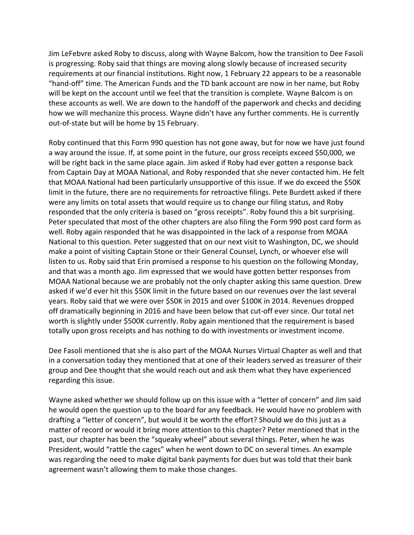Jim LeFebvre asked Roby to discuss, along with Wayne Balcom, how the transition to Dee Fasoli is progressing. Roby said that things are moving along slowly because of increased security requirements at our financial institutions. Right now, 1 February 22 appears to be a reasonable "hand‐off" time. The American Funds and the TD bank account are now in her name, but Roby will be kept on the account until we feel that the transition is complete. Wayne Balcom is on these accounts as well. We are down to the handoff of the paperwork and checks and deciding how we will mechanize this process. Wayne didn't have any further comments. He is currently out‐of‐state but will be home by 15 February.

Roby continued that this Form 990 question has not gone away, but for now we have just found a way around the issue. If, at some point in the future, our gross receipts exceed \$50,000, we will be right back in the same place again. Jim asked if Roby had ever gotten a response back from Captain Day at MOAA National, and Roby responded that she never contacted him. He felt that MOAA National had been particularly unsupportive of this issue. If we do exceed the \$50K limit in the future, there are no requirements for retroactive filings. Pete Burdett asked if there were any limits on total assets that would require us to change our filing status, and Roby responded that the only criteria is based on "gross receipts". Roby found this a bit surprising. Peter speculated that most of the other chapters are also filing the Form 990 post card form as well. Roby again responded that he was disappointed in the lack of a response from MOAA National to this question. Peter suggested that on our next visit to Washington, DC, we should make a point of visiting Captain Stone or their General Counsel, Lynch, or whoever else will listen to us. Roby said that Erin promised a response to his question on the following Monday, and that was a month ago. Jim expressed that we would have gotten better responses from MOAA National because we are probably not the only chapter asking this same question. Drew asked if we'd ever hit this \$50K limit in the future based on our revenues over the last several years. Roby said that we were over \$50K in 2015 and over \$100K in 2014. Revenues dropped off dramatically beginning in 2016 and have been below that cut‐off ever since. Our total net worth is slightly under \$500K currently. Roby again mentioned that the requirement is based totally upon gross receipts and has nothing to do with investments or investment income.

Dee Fasoli mentioned that she is also part of the MOAA Nurses Virtual Chapter as well and that in a conversation today they mentioned that at one of their leaders served as treasurer of their group and Dee thought that she would reach out and ask them what they have experienced regarding this issue.

Wayne asked whether we should follow up on this issue with a "letter of concern" and Jim said he would open the question up to the board for any feedback. He would have no problem with drafting a "letter of concern", but would it be worth the effort? Should we do this just as a matter of record or would it bring more attention to this chapter? Peter mentioned that in the past, our chapter has been the "squeaky wheel" about several things. Peter, when he was President, would "rattle the cages" when he went down to DC on several times. An example was regarding the need to make digital bank payments for dues but was told that their bank agreement wasn't allowing them to make those changes.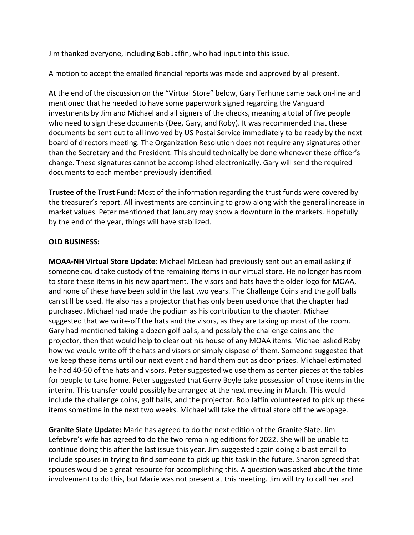Jim thanked everyone, including Bob Jaffin, who had input into this issue.

A motion to accept the emailed financial reports was made and approved by all present.

At the end of the discussion on the "Virtual Store" below, Gary Terhune came back on‐line and mentioned that he needed to have some paperwork signed regarding the Vanguard investments by Jim and Michael and all signers of the checks, meaning a total of five people who need to sign these documents (Dee, Gary, and Roby). It was recommended that these documents be sent out to all involved by US Postal Service immediately to be ready by the next board of directors meeting. The Organization Resolution does not require any signatures other than the Secretary and the President. This should technically be done whenever these officer's change. These signatures cannot be accomplished electronically. Gary will send the required documents to each member previously identified.

**Trustee of the Trust Fund:** Most of the information regarding the trust funds were covered by the treasurer's report. All investments are continuing to grow along with the general increase in market values. Peter mentioned that January may show a downturn in the markets. Hopefully by the end of the year, things will have stabilized.

## **OLD BUSINESS:**

**MOAA‐NH Virtual Store Update:** Michael McLean had previously sent out an email asking if someone could take custody of the remaining items in our virtual store. He no longer has room to store these items in his new apartment. The visors and hats have the older logo for MOAA, and none of these have been sold in the last two years. The Challenge Coins and the golf balls can still be used. He also has a projector that has only been used once that the chapter had purchased. Michael had made the podium as his contribution to the chapter. Michael suggested that we write-off the hats and the visors, as they are taking up most of the room. Gary had mentioned taking a dozen golf balls, and possibly the challenge coins and the projector, then that would help to clear out his house of any MOAA items. Michael asked Roby how we would write off the hats and visors or simply dispose of them. Someone suggested that we keep these items until our next event and hand them out as door prizes. Michael estimated he had 40‐50 of the hats and visors. Peter suggested we use them as center pieces at the tables for people to take home. Peter suggested that Gerry Boyle take possession of those items in the interim. This transfer could possibly be arranged at the next meeting in March. This would include the challenge coins, golf balls, and the projector. Bob Jaffin volunteered to pick up these items sometime in the next two weeks. Michael will take the virtual store off the webpage.

**Granite Slate Update:** Marie has agreed to do the next edition of the Granite Slate. Jim Lefebvre's wife has agreed to do the two remaining editions for 2022. She will be unable to continue doing this after the last issue this year. Jim suggested again doing a blast email to include spouses in trying to find someone to pick up this task in the future. Sharon agreed that spouses would be a great resource for accomplishing this. A question was asked about the time involvement to do this, but Marie was not present at this meeting. Jim will try to call her and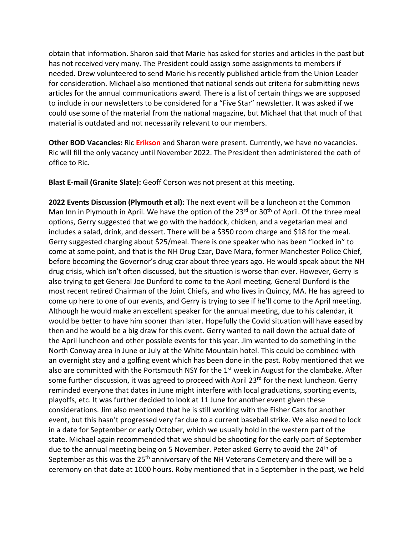obtain that information. Sharon said that Marie has asked for stories and articles in the past but has not received very many. The President could assign some assignments to members if needed. Drew volunteered to send Marie his recently published article from the Union Leader for consideration. Michael also mentioned that national sends out criteria for submitting news articles for the annual communications award. There is a list of certain things we are supposed to include in our newsletters to be considered for a "Five Star" newsletter. It was asked if we could use some of the material from the national magazine, but Michael that that much of that material is outdated and not necessarily relevant to our members.

**Other BOD Vacancies:** Ric **Erikson** and Sharon were present. Currently, we have no vacancies. Ric will fill the only vacancy until November 2022. The President then administered the oath of office to Ric.

**Blast E‐mail (Granite Slate):** Geoff Corson was not present at this meeting.

**2022 Events Discussion (Plymouth et al):** The next event will be a luncheon at the Common Man Inn in Plymouth in April. We have the option of the 23<sup>rd</sup> or 30<sup>th</sup> of April. Of the three meal options, Gerry suggested that we go with the haddock, chicken, and a vegetarian meal and includes a salad, drink, and dessert. There will be a \$350 room charge and \$18 for the meal. Gerry suggested charging about \$25/meal. There is one speaker who has been "locked in" to come at some point, and that is the NH Drug Czar, Dave Mara, former Manchester Police Chief, before becoming the Governor's drug czar about three years ago. He would speak about the NH drug crisis, which isn't often discussed, but the situation is worse than ever. However, Gerry is also trying to get General Joe Dunford to come to the April meeting. General Dunford is the most recent retired Chairman of the Joint Chiefs, and who lives in Quincy, MA. He has agreed to come up here to one of our events, and Gerry is trying to see if he'll come to the April meeting. Although he would make an excellent speaker for the annual meeting, due to his calendar, it would be better to have him sooner than later. Hopefully the Covid situation will have eased by then and he would be a big draw for this event. Gerry wanted to nail down the actual date of the April luncheon and other possible events for this year. Jim wanted to do something in the North Conway area in June or July at the White Mountain hotel. This could be combined with an overnight stay and a golfing event which has been done in the past. Roby mentioned that we also are committed with the Portsmouth NSY for the 1<sup>st</sup> week in August for the clambake. After some further discussion, it was agreed to proceed with April 23<sup>rd</sup> for the next luncheon. Gerry reminded everyone that dates in June might interfere with local graduations, sporting events, playoffs, etc. It was further decided to look at 11 June for another event given these considerations. Jim also mentioned that he is still working with the Fisher Cats for another event, but this hasn't progressed very far due to a current baseball strike. We also need to lock in a date for September or early October, which we usually hold in the western part of the state. Michael again recommended that we should be shooting for the early part of September due to the annual meeting being on 5 November. Peter asked Gerry to avoid the 24<sup>th</sup> of September as this was the 25<sup>th</sup> anniversary of the NH Veterans Cemetery and there will be a ceremony on that date at 1000 hours. Roby mentioned that in a September in the past, we held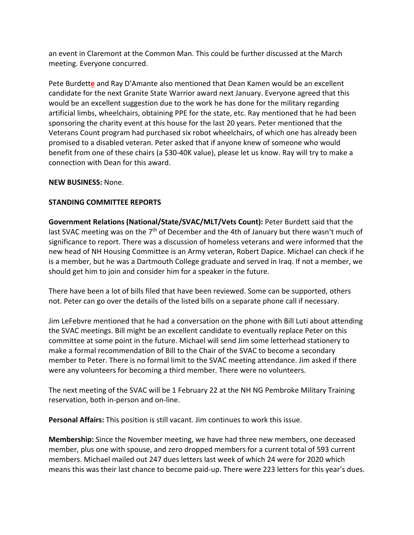an event in Claremont at the Common Man. This could be further discussed at the March meeting. Everyone concurred.

Pete Burdett**e** and Ray D'Amante also mentioned that Dean Kamen would be an excellent candidate for the next Granite State Warrior award next January. Everyone agreed that this would be an excellent suggestion due to the work he has done for the military regarding artificial limbs, wheelchairs, obtaining PPE for the state, etc. Ray mentioned that he had been sponsoring the charity event at this house for the last 20 years. Peter mentioned that the Veterans Count program had purchased six robot wheelchairs, of which one has already been promised to a disabled veteran. Peter asked that if anyone knew of someone who would benefit from one of these chairs (a \$30‐40K value), please let us know. Ray will try to make a connection with Dean for this award.

## **NEW BUSINESS:** None.

## **STANDING COMMITTEE REPORTS**

**Government Relations (National/State/SVAC/MLT/Vets Count):** Peter Burdett said that the last SVAC meeting was on the  $7<sup>th</sup>$  of December and the 4th of January but there wasn't much of significance to report. There was a discussion of homeless veterans and were informed that the new head of NH Housing Committee is an Army veteran, Robert Dapice. Michael can check if he is a member, but he was a Dartmouth College graduate and served in Iraq. If not a member, we should get him to join and consider him for a speaker in the future.

There have been a lot of bills filed that have been reviewed. Some can be supported, others not. Peter can go over the details of the listed bills on a separate phone call if necessary.

Jim LeFebvre mentioned that he had a conversation on the phone with Bill Luti about attending the SVAC meetings. Bill might be an excellent candidate to eventually replace Peter on this committee at some point in the future. Michael will send Jim some letterhead stationery to make a formal recommendation of Bill to the Chair of the SVAC to become a secondary member to Peter. There is no formal limit to the SVAC meeting attendance. Jim asked if there were any volunteers for becoming a third member. There were no volunteers.

The next meeting of the SVAC will be 1 February 22 at the NH NG Pembroke Military Training reservation, both in‐person and on‐line.

**Personal Affairs:** This position is still vacant. Jim continues to work this issue.

**Membership:** Since the November meeting, we have had three new members, one deceased member, plus one with spouse, and zero dropped members for a current total of 593 current members. Michael mailed out 247 dues letters last week of which 24 were for 2020 which means this was their last chance to become paid‐up. There were 223 letters for this year's dues.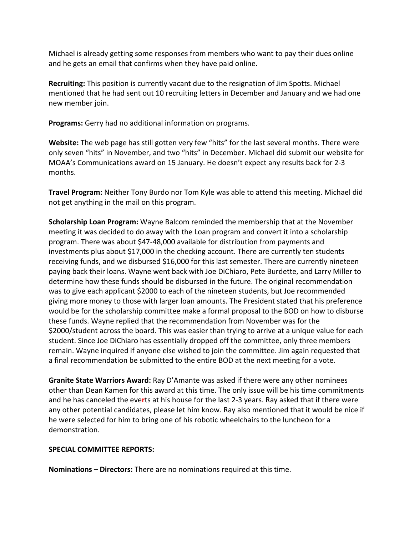Michael is already getting some responses from members who want to pay their dues online and he gets an email that confirms when they have paid online.

**Recruiting:** This position is currently vacant due to the resignation of Jim Spotts. Michael mentioned that he had sent out 10 recruiting letters in December and January and we had one new member join.

**Programs:** Gerry had no additional information on programs.

**Website:** The web page has still gotten very few "hits" for the last several months. There were only seven "hits" in November, and two "hits" in December. Michael did submit our website for MOAA's Communications award on 15 January. He doesn't expect any results back for 2‐3 months.

**Travel Program:** Neither Tony Burdo nor Tom Kyle was able to attend this meeting. Michael did not get anything in the mail on this program.

**Scholarship Loan Program:** Wayne Balcom reminded the membership that at the November meeting it was decided to do away with the Loan program and convert it into a scholarship program. There was about \$47‐48,000 available for distribution from payments and investments plus about \$17,000 in the checking account. There are currently ten students receiving funds, and we disbursed \$16,000 for this last semester. There are currently nineteen paying back their loans. Wayne went back with Joe DiChiaro, Pete Burdette, and Larry Miller to determine how these funds should be disbursed in the future. The original recommendation was to give each applicant \$2000 to each of the nineteen students, but Joe recommended giving more money to those with larger loan amounts. The President stated that his preference would be for the scholarship committee make a formal proposal to the BOD on how to disburse these funds. Wayne replied that the recommendation from November was for the \$2000/student across the board. This was easier than trying to arrive at a unique value for each student. Since Joe DiChiaro has essentially dropped off the committee, only three members remain. Wayne inquired if anyone else wished to join the committee. Jim again requested that a final recommendation be submitted to the entire BOD at the next meeting for a vote.

**Granite State Warriors Award:** Ray D'Amante was asked if there were any other nominees other than Dean Kamen for this award at this time. The only issue will be his time commitments and he has canceled the eve**r**ts at his house for the last 2‐3 years. Ray asked that if there were any other potential candidates, please let him know. Ray also mentioned that it would be nice if he were selected for him to bring one of his robotic wheelchairs to the luncheon for a demonstration.

## **SPECIAL COMMITTEE REPORTS:**

**Nominations – Directors:** There are no nominations required at this time.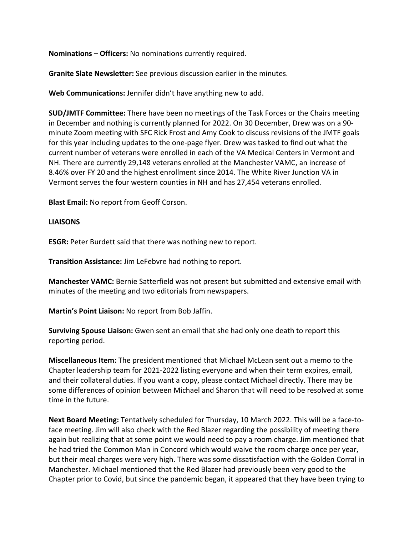**Nominations – Officers:** No nominations currently required.

**Granite Slate Newsletter:** See previous discussion earlier in the minutes.

**Web Communications:** Jennifer didn't have anything new to add.

**SUD/JMTF Committee:** There have been no meetings of the Task Forces or the Chairs meeting in December and nothing is currently planned for 2022. On 30 December, Drew was on a 90‐ minute Zoom meeting with SFC Rick Frost and Amy Cook to discuss revisions of the JMTF goals for this year including updates to the one‐page flyer. Drew was tasked to find out what the current number of veterans were enrolled in each of the VA Medical Centers in Vermont and NH. There are currently 29,148 veterans enrolled at the Manchester VAMC, an increase of 8.46% over FY 20 and the highest enrollment since 2014. The White River Junction VA in Vermont serves the four western counties in NH and has 27,454 veterans enrolled.

**Blast Email:** No report from Geoff Corson.

## **LIAISONS**

**ESGR:** Peter Burdett said that there was nothing new to report.

**Transition Assistance:** Jim LeFebvre had nothing to report.

**Manchester VAMC:** Bernie Satterfield was not present but submitted and extensive email with minutes of the meeting and two editorials from newspapers.

**Martin's Point Liaison:** No report from Bob Jaffin.

**Surviving Spouse Liaison:** Gwen sent an email that she had only one death to report this reporting period.

**Miscellaneous Item:** The president mentioned that Michael McLean sent out a memo to the Chapter leadership team for 2021‐2022 listing everyone and when their term expires, email, and their collateral duties. If you want a copy, please contact Michael directly. There may be some differences of opinion between Michael and Sharon that will need to be resolved at some time in the future.

**Next Board Meeting:** Tentatively scheduled for Thursday, 10 March 2022. This will be a face‐to‐ face meeting. Jim will also check with the Red Blazer regarding the possibility of meeting there again but realizing that at some point we would need to pay a room charge. Jim mentioned that he had tried the Common Man in Concord which would waive the room charge once per year, but their meal charges were very high. There was some dissatisfaction with the Golden Corral in Manchester. Michael mentioned that the Red Blazer had previously been very good to the Chapter prior to Covid, but since the pandemic began, it appeared that they have been trying to